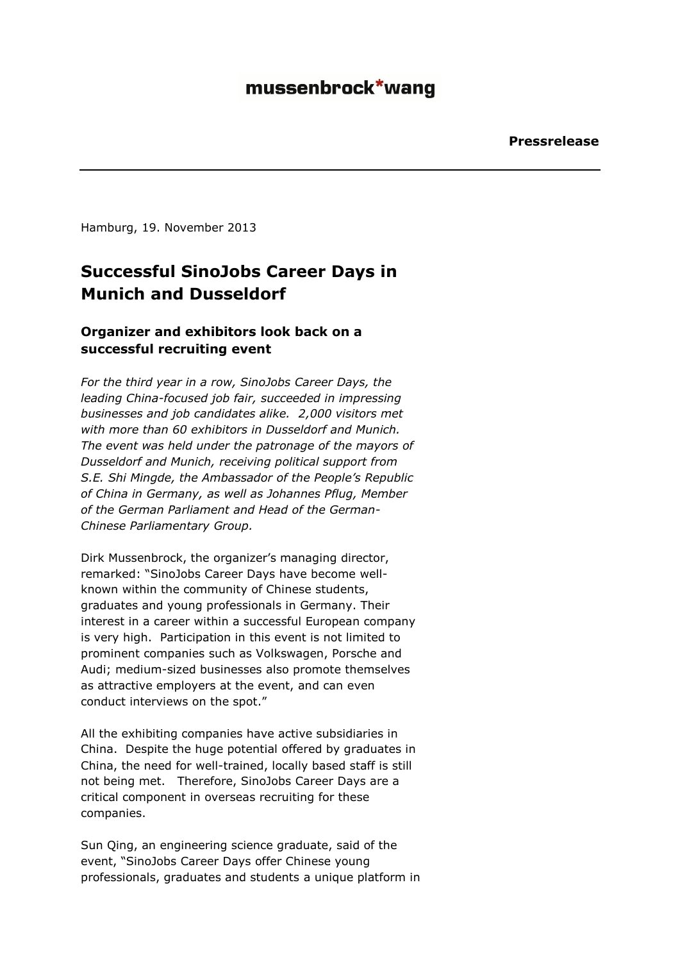# mussenbrock\*wang

Hamburg, 19. November 2013

## **Successful SinoJobs Career Days in Munich and Dusseldorf**

### **Organizer and exhibitors look back on a successful recruiting event**

*For the third year in a row, SinoJobs Career Days, the leading China-focused job fair, succeeded in impressing businesses and job candidates alike. 2,000 visitors met with more than 60 exhibitors in Dusseldorf and Munich. The event was held under the patronage of the mayors of Dusseldorf and Munich, receiving political support from S.E. Shi Mingde, the Ambassador of the People's Republic of China in Germany, as well as Johannes Pflug, Member of the German Parliament and Head of the German-Chinese Parliamentary Group.* 

Dirk Mussenbrock, the organizer's managing director, remarked: "SinoJobs Career Days have become wellknown within the community of Chinese students, graduates and young professionals in Germany. Their interest in a career within a successful European company is very high. Participation in this event is not limited to prominent companies such as Volkswagen, Porsche and Audi; medium-sized businesses also promote themselves as attractive employers at the event, and can even conduct interviews on the spot."

All the exhibiting companies have active subsidiaries in China. Despite the huge potential offered by graduates in China, the need for well-trained, locally based staff is still not being met. Therefore, SinoJobs Career Days are a critical component in overseas recruiting for these companies.

Sun Qing, an engineering science graduate, said of the event, "SinoJobs Career Days offer Chinese young professionals, graduates and students a unique platform in